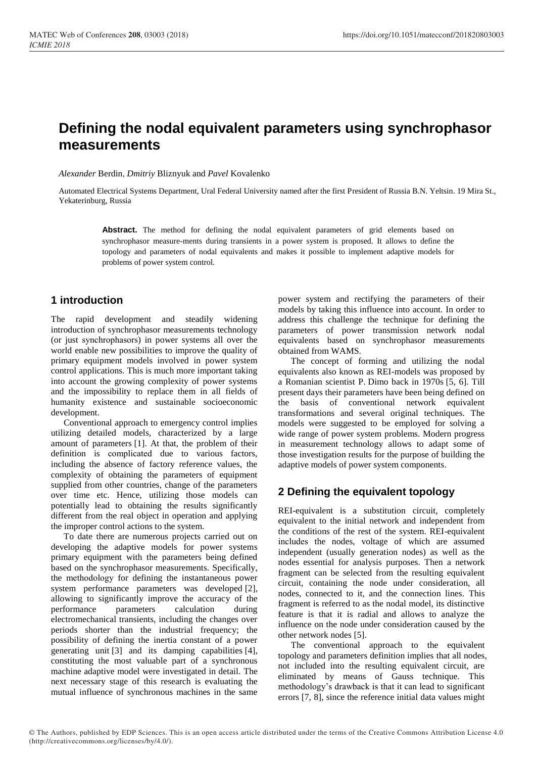# **Defining the nodal equivalent parameters using synchrophasor measurements**

*Alexander* Berdin, *Dmitriy* Bliznyuk and *Pavel* Kovalenko

Automated Electrical Systems Department, Ural Federal University named after the first President of Russia B.N. Yeltsin. 19 Mira St., Yekaterinburg, Russia

Abstract. The method for defining the nodal equivalent parameters of grid elements based on synchrophasor measure-ments during transients in a power system is proposed. It allows to define the topology and parameters of nodal equivalents and makes it possible to implement adaptive models for problems of power system control.

## **1 introduction**

The rapid development and steadily widening introduction of synchrophasor measurements technology (or just synchrophasors) in power systems all over the world enable new possibilities to improve the quality of primary equipment models involved in power system control applications. This is much more important taking into account the growing complexity of power systems and the impossibility to replace them in all fields of humanity existence and sustainable socioeconomic development.

Conventional approach to emergency control implies utilizing detailed models, characterized by a large amount of parameters [1]. At that, the problem of their definition is complicated due to various factors, including the absence of factory reference values, the complexity of obtaining the parameters of equipment supplied from other countries, change of the parameters over time etc. Hence, utilizing those models can potentially lead to obtaining the results significantly different from the real object in operation and applying the improper control actions to the system.

To date there are numerous projects carried out on developing the adaptive models for power systems primary equipment with the parameters being defined based on the synchrophasor measurements. Specifically, the methodology for defining the instantaneous power system performance parameters was developed [2], allowing to significantly improve the accuracy of the performance parameters calculation during electromechanical transients, including the changes over periods shorter than the industrial frequency; the possibility of defining the inertia constant of a power generating unit [3] and its damping capabilities [4], constituting the most valuable part of a synchronous machine adaptive model were investigated in detail. The next necessary stage of this research is evaluating the mutual influence of synchronous machines in the same

power system and rectifying the parameters of their models by taking this influence into account. In order to address this challenge the technique for defining the parameters of power transmission network nodal equivalents based on synchrophasor measurements obtained from WAMS.

The concept of forming and utilizing the nodal equivalents also known as REI-models was proposed by a Romanian scientist P. Dimo back in 1970s [5, 6]. Till present days their parameters have been being defined on the basis of conventional network equivalent transformations and several original techniques. The models were suggested to be employed for solving a wide range of power system problems. Modern progress in measurement technology allows to adapt some of those investigation results for the purpose of building the adaptive models of power system components.

## **2 Defining the equivalent topology**

REI-equivalent is a substitution circuit, completely equivalent to the initial network and independent from the conditions of the rest of the system. REI-equivalent includes the nodes, voltage of which are assumed independent (usually generation nodes) as well as the nodes essential for analysis purposes. Then a network fragment can be selected from the resulting equivalent circuit, containing the node under consideration, all nodes, connected to it, and the connection lines. This fragment is referred to as the nodal model, its distinctive feature is that it is radial and allows to analyze the influence on the node under consideration caused by the other network nodes [5].

The conventional approach to the equivalent topology and parameters definition implies that all nodes, not included into the resulting equivalent circuit, are eliminated by means of Gauss technique. This methodology's drawback is that it can lead to significant errors [7, 8], since the reference initial data values might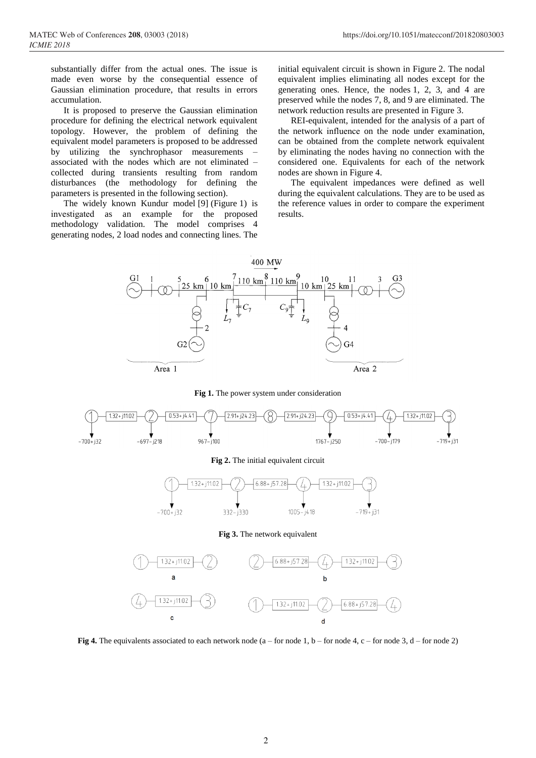substantially differ from the actual ones. The issue is made even worse by the consequential essence of Gaussian elimination procedure, that results in errors accumulation.

It is proposed to preserve the Gaussian elimination procedure for defining the electrical network equivalent topology. However, the problem of defining the equivalent model parameters is proposed to be addressed by utilizing the synchrophasor measurements – associated with the nodes which are not eliminated – collected during transients resulting from random disturbances (the methodology for defining the parameters is presented in the following section).

The widely known Kundur model [9] (Figure 1) is investigated as an example for the proposed methodology validation. The model comprises 4 generating nodes, 2 load nodes and connecting lines. The initial equivalent circuit is shown in Figure 2. The nodal equivalent implies eliminating all nodes except for the generating ones. Hence, the nodes 1, 2, 3, and 4 are preserved while the nodes 7, 8, and 9 are eliminated. The network reduction results are presented in Figure 3.

REI-equivalent, intended for the analysis of a part of the network influence on the node under examination, can be obtained from the complete network equivalent by eliminating the nodes having no connection with the considered one. Equivalents for each of the network nodes are shown in Figure 4.

The equivalent impedances were defined as well during the equivalent calculations. They are to be used as the reference values in order to compare the experiment results.



**Fig 1.** The power system under consideration



#### **Fig 2.** The initial equivalent circuit



#### **Fig 3.** The network equivalent



**Fig 4.** The equivalents associated to each network node  $(a - for node 1, b - for node 4, c - for node 3, d - for node 2)$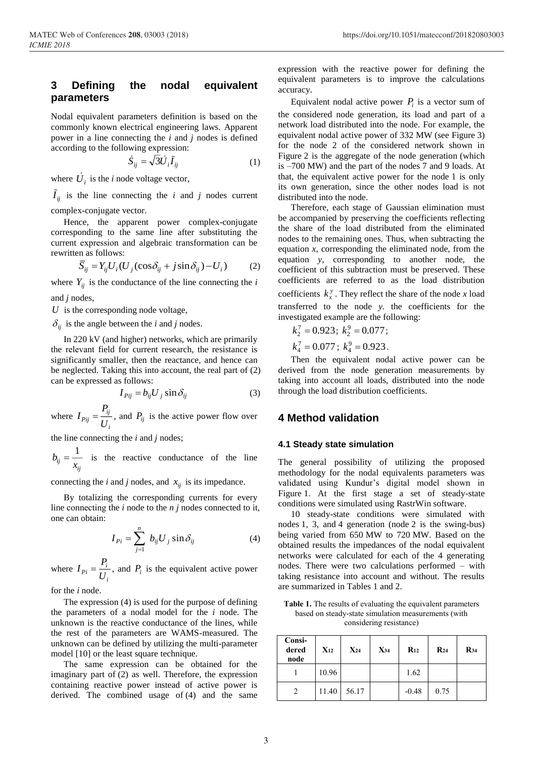## **3 Defining the nodal equivalent parameters**

Nodal equivalent parameters definition is based on the commonly known electrical engineering laws. Apparent power in a line connecting the *i* and *j* nodes is defined according to the following expression:

$$
\dot{S}_{ij} = \sqrt{3}\dot{U}_i \bar{I}_{ij} \tag{1}
$$

where  $\dot{U}_i$  is the *i* node voltage vector,

 $\overline{I}_{ii}$  is the line connecting the *i* and *j* nodes current complex-conjugate vector.

Hence, the apparent power complex-conjugate corresponding to the same line after substituting the current expression and algebraic transformation can be rewritten as follows:

$$
\overline{S}_{ij} = Y_{ij} U_i (U_j (\cos \delta_{ij} + j \sin \delta_{ij}) - U_i)
$$
 (2)

where  $Y_{ij}$  is the conductance of the line connecting the *i* 

and *j* nodes,

*U* is the corresponding node voltage,

 $\delta_{ij}$  is the angle between the *i* and *j* nodes.

In 220 kV (and higher) networks, which are primarily the relevant field for current research, the resistance is significantly smaller, then the reactance, and hence can be neglected. Taking this into account, the real part of (2) can be expressed as follows:

$$
I_{Pij} = b_{ij} U_j \sin \delta_{ij} \tag{3}
$$

where *i ij*  $P$ ij  $-\frac{1}{U}$ *P*  $I_{Pij} = \frac{I_{ij}}{I}$ , and  $P_{ij}$  is the active power flow over

the line connecting the *i* and *j* nodes;

*ij ij*  $-\frac{1}{x}$  $b_{ii} = \frac{1}{1}$  is the reactive conductance of the line

connecting the *i* and *j* nodes, and  $x_{ij}$  is its impedance.

By totalizing the corresponding currents for every line connecting the *i* node to the *n j* nodes connected to it, one can obtain:

$$
I_{Pi} = \sum_{j=1}^{n} b_{ij} U_j \sin \delta_{ij}
$$
 (4)

where *i*  $p_i = \frac{I_i}{U}$  $I_{Pi} = \frac{P_i}{I}$ , and  $P_i$  is the equivalent active power

for the *i* node.

The expression (4) is used for the purpose of defining the parameters of a nodal model for the *i* node. The unknown is the reactive conductance of the lines, while the rest of the parameters are WAMS-measured. The unknown can be defined by utilizing the multi-parameter model [10] or the least square technique.

The same expression can be obtained for the imaginary part of (2) as well. Therefore, the expression containing reactive power instead of active power is derived. The combined usage of (4) and the same

expression with the reactive power for defining the equivalent parameters is to improve the calculations accuracy.

Equivalent nodal active power  $P_i$  is a vector sum of the considered node generation, its load and part of a network load distributed into the node. For example, the equivalent nodal active power of 332 MW (see Figure 3) for the node 2 of the considered network shown in Figure 2 is the aggregate of the node generation (which is –700 MW) and the part of the nodes 7 and 9 loads. At that, the equivalent active power for the node 1 is only its own generation, since the other nodes load is not distributed into the node.

Therefore, each stage of Gaussian elimination must be accompanied by preserving the coefficients reflecting the share of the load distributed from the eliminated nodes to the remaining ones. Thus, when subtracting the equation *x*, corresponding the eliminated node, from the equation *y*, corresponding to another node, the coefficient of this subtraction must be preserved. These coefficients are referred to as the load distribution coefficients  $k_x^y$ . They reflect the share of the node *x* load transferred to the node *y*. the coefficients for the investigated example are the following:

$$
k_2^7 = 0.923
$$
;  $k_2^9 = 0.077$ ;  
 $k_4^7 = 0.077$ ;  $k_4^9 = 0.923$ .

Then the equivalent nodal active power can be derived from the node generation measurements by taking into account all loads, distributed into the node through the load distribution coefficients.

### **4 Method validation**

#### **4.1 Steady state simulation**

The general possibility of utilizing the proposed methodology for the nodal equivalents parameters was validated using Kundur's digital model shown in Figure 1. At the first stage a set of steady-state conditions were simulated using RastrWin software.

10 steady-state conditions were simulated with nodes 1, 3, and 4 generation (node 2 is the swing-bus) being varied from 650 MW to 720 MW. Based on the obtained results the impedances of the nodal equivalent networks were calculated for each of the 4 generating nodes. There were two calculations performed – with taking resistance into account and without. The results are summarized in Tables 1 and 2.

**Table 1.** The results of evaluating the equivalent parameters based on steady-state simulation measurements (with considering resistance)

| Consi-<br>dered<br>node | $X_{12}$ | $X_{24}$ | $X_{34}$ | $R_{12}$ | $R_{24}$ | $R_{34}$ |
|-------------------------|----------|----------|----------|----------|----------|----------|
|                         | 10.96    |          |          | 1.62     |          |          |
| 2                       | 11.40    | 56.17    |          | $-0.48$  | 0.75     |          |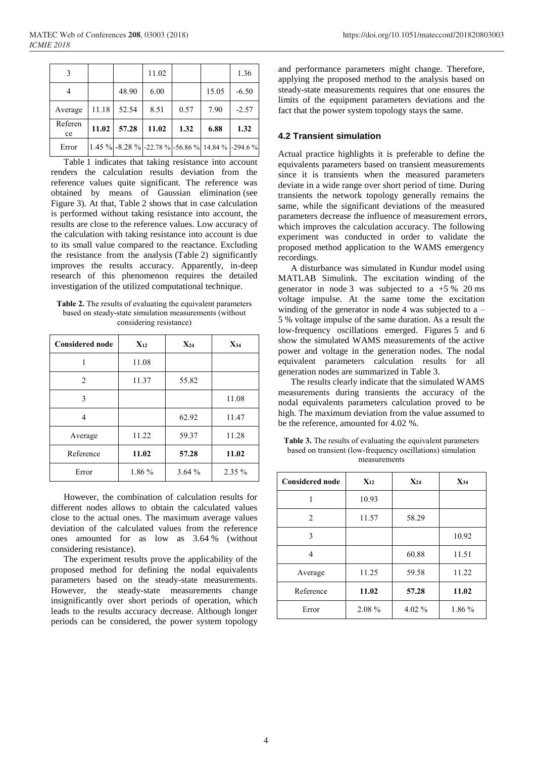| 3             |       |       | 11.02 |                                                   |       | 1.36    |
|---------------|-------|-------|-------|---------------------------------------------------|-------|---------|
| 4             |       | 48.90 | 6.00  |                                                   | 15.05 | $-6.50$ |
| Average       | 11.18 | 52.54 | 8.51  | 0.57                                              | 7.90  | $-2.57$ |
| Referen<br>ce | 11.02 | 57.28 | 11.02 | 1.32                                              | 6.88  | 1.32    |
| Error         |       |       |       | 1.45 % -8.28 % -22.78 % -56.86 % 14.84 % -294.6 % |       |         |

Table 1 indicates that taking resistance into account renders the calculation results deviation from the reference values quite significant. The reference was obtained by means of Gaussian elimination (see Figure 3). At that, Table 2 shows that in case calculation is performed without taking resistance into account, the results are close to the reference values. Low accuracy of the calculation with taking resistance into account is due to its small value compared to the reactance. Excluding the resistance from the analysis (Table 2) significantly improves the results accuracy. Apparently, in-deep research of this phenomenon requires the detailed investigation of the utilized computational technique.

**Table 2.** The results of evaluating the equivalent parameters based on steady-state simulation measurements (without considering resistance)

| <b>Considered node</b> | $X_{12}$ | $X_{24}$ | $X_{34}$ |
|------------------------|----------|----------|----------|
| 1                      | 11.08    |          |          |
| 2                      | 11.37    | 55.82    |          |
| 3                      |          |          | 11.08    |
| 4                      |          | 62.92    | 11.47    |
| Average                | 11.22    | 59.37    | 11.28    |
| Reference              | 11.02    | 57.28    | 11.02    |
| Error                  | 1.86 %   | 3.64%    | $2.35\%$ |

However, the combination of calculation results for different nodes allows to obtain the calculated values close to the actual ones. The maximum average values deviation of the calculated values from the reference ones amounted for as low as 3.64 % (without considering resistance).

The experiment results prove the applicability of the proposed method for defining the nodal equivalents parameters based on the steady-state measurements. However, the steady-state measurements change insignificantly over short periods of operation, which leads to the results accuracy decrease. Although longer periods can be considered, the power system topology and performance parameters might change. Therefore, applying the proposed method to the analysis based on steady-state measurements requires that one ensures the limits of the equipment parameters deviations and the fact that the power system topology stays the same.

#### **4.2 Transient simulation**

Actual practice highlights it is preferable to define the equivalents parameters based on transient measurements since it is transients when the measured parameters deviate in a wide range over short period of time. During transients the network topology generally remains the same, while the significant deviations of the measured parameters decrease the influence of measurement errors, which improves the calculation accuracy. The following experiment was conducted in order to validate the proposed method application to the WAMS emergency recordings.

A disturbance was simulated in Kundur model using MATLAB Simulink. The excitation winding of the generator in node 3 was subjected to a  $+5\%$  20 ms voltage impulse. At the same tome the excitation winding of the generator in node 4 was subjected to  $a -$ 5 % voltage impulse of the same duration. As a result the low-frequency oscillations emerged. Figures 5 and 6 show the simulated WAMS measurements of the active power and voltage in the generation nodes. The nodal equivalent parameters calculation results for all generation nodes are summarized in Table 3.

The results clearly indicate that the simulated WAMS measurements during transients the accuracy of the nodal equivalents parameters calculation proved to be high. The maximum deviation from the value assumed to be the reference, amounted for 4.02 %.

**Table 3.** The results of evaluating the equivalent parameters based on transient (low-frequency oscillations) simulation measurements

| <b>Considered node</b> | $X_{12}$ | $X_{24}$ | $X_{34}$ |
|------------------------|----------|----------|----------|
|                        | 10.93    |          |          |
| $\overline{2}$         | 11.57    | 58.29    |          |
| 3                      |          |          | 10.92    |
| 4                      |          | 60.88    | 11.51    |
| Average                | 11.25    | 59.58    | 11.22    |
| Reference              | 11.02    | 57.28    | 11.02    |
| Error                  | 2.08 %   | 4.02 %   | 1.86 %   |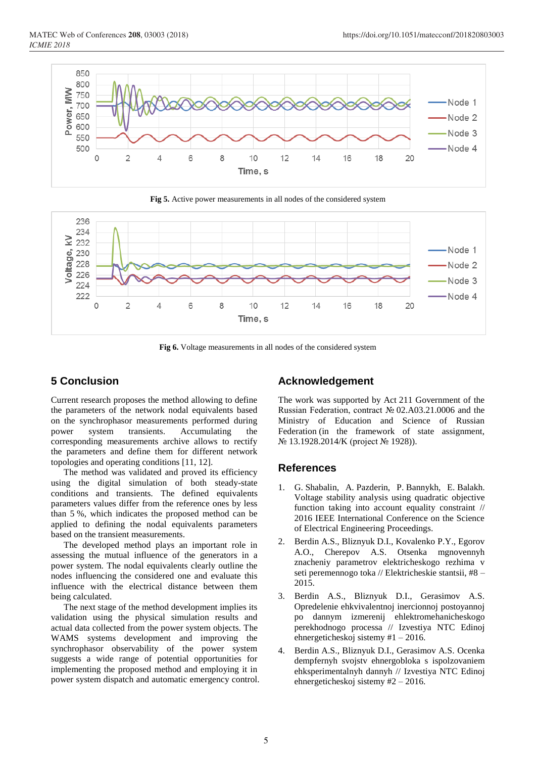

**Fig 5.** Active power measurements in all nodes of the considered system



**Fig 6.** Voltage measurements in all nodes of the considered system

## **5 Conclusion**

Current research proposes the method allowing to define the parameters of the network nodal equivalents based on the synchrophasor measurements performed during power system transients. Accumulating the corresponding measurements archive allows to rectify the parameters and define them for different network topologies and operating conditions [11, 12].

The method was validated and proved its efficiency using the digital simulation of both steady-state conditions and transients. The defined equivalents parameters values differ from the reference ones by less than 5 %, which indicates the proposed method can be applied to defining the nodal equivalents parameters based on the transient measurements.

The developed method plays an important role in assessing the mutual influence of the generators in a power system. The nodal equivalents clearly outline the nodes influencing the considered one and evaluate this influence with the electrical distance between them being calculated.

The next stage of the method development implies its validation using the physical simulation results and actual data collected from the power system objects. The WAMS systems development and improving the synchrophasor observability of the power system suggests a wide range of potential opportunities for implementing the proposed method and employing it in power system dispatch and automatic emergency control.

### **Acknowledgement**

The work was supported by Act 211 Government of the Russian Federation, contract № 02.A03.21.0006 and the Ministry of Education and Science of Russian Federation (in the framework of state assignment, № 13.1928.2014/K (project № 1928)).

### **References**

- 1. G. Shabalin, A. Pazderin, P. Bannykh, E. Balakh. Voltage stability analysis using quadratic objective function taking into account equality constraint // 2016 IEEE International Conference on the Science of Electrical Engineering Proceedings.
- 2. Berdin A.S., Bliznyuk D.I., Kovalenko P.Y., Egorov A.O., Cherepov A.S. Otsenka mgnovennyh znacheniy parametrov elektricheskogo rezhima v seti peremennogo toka // Elektricheskie stantsii, #8 – 2015.
- 3. Berdin A.S., Bliznyuk D.I., Gerasimov A.S. Opredelenie ehkvivalentnoj inercionnoj postoyannoj po dannym izmerenij ehlektromehanicheskogo perekhodnogo processa // Izvestiya NTC Edinoj ehnergeticheskoj sistemy #1 – 2016.
- 4. Berdin A.S., Bliznyuk D.I., Gerasimov A.S. Ocenka dempfernyh svojstv ehnergobloka s ispolzovaniem ehksperimentalnyh dannyh // Izvestiya NTC Edinoj ehnergeticheskoj sistemy #2 – 2016.